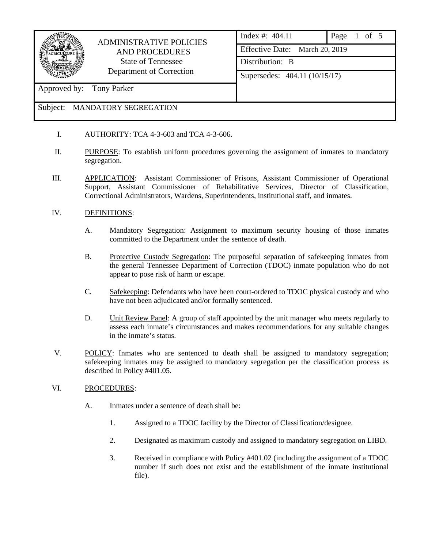

# ADMINISTRATIVE POLICIES AND PROCEDURES State of Tennessee Department of Correction

|  | Index #: $404.11$              | Page 1 of 5 |  |
|--|--------------------------------|-------------|--|
|  | Effective Date: March 20, 2019 |             |  |
|  | Distribution: B                |             |  |
|  | Supersedes: 404.11 (10/15/17)  |             |  |
|  |                                |             |  |
|  |                                |             |  |

## Subject: MANDATORY SEGREGATION

Approved by: Tony Parker

- I. AUTHORITY: TCA 4-3-603 and TCA 4-3-606.
- II. PURPOSE: To establish uniform procedures governing the assignment of inmates to mandatory segregation.
- III. APPLICATION: Assistant Commissioner of Prisons, Assistant Commissioner of Operational Support, Assistant Commissioner of Rehabilitative Services, Director of Classification, Correctional Administrators, Wardens, Superintendents, institutional staff, and inmates.

## IV. DEFINITIONS:

- A. Mandatory Segregation: Assignment to maximum security housing of those inmates committed to the Department under the sentence of death.
- B. Protective Custody Segregation: The purposeful separation of safekeeping inmates from the general Tennessee Department of Correction (TDOC) inmate population who do not appear to pose risk of harm or escape.
- C. Safekeeping: Defendants who have been court-ordered to TDOC physical custody and who have not been adjudicated and/or formally sentenced.
- D. Unit Review Panel: A group of staff appointed by the unit manager who meets regularly to assess each inmate's circumstances and makes recommendations for any suitable changes in the inmate's status.
- V. POLICY: Inmates who are sentenced to death shall be assigned to mandatory segregation; safekeeping inmates may be assigned to mandatory segregation per the classification process as described in Policy #401.05.

#### VI. PROCEDURES:

- A. Inmates under a sentence of death shall be:
	- 1. Assigned to a TDOC facility by the Director of Classification/designee.
	- 2. Designated as maximum custody and assigned to mandatory segregation on LIBD.
	- 3. Received in compliance with Policy #401.02 (including the assignment of a TDOC number if such does not exist and the establishment of the inmate institutional file).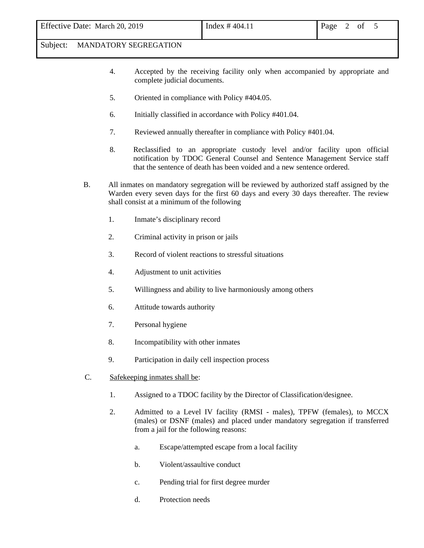#### Subject: MANDATORY SEGREGATION

- 4. Accepted by the receiving facility only when accompanied by appropriate and complete judicial documents.
- 5. Oriented in compliance with Policy #404.05.
- 6. Initially classified in accordance with Policy #401.04.
- 7. Reviewed annually thereafter in compliance with Policy #401.04.
- 8. Reclassified to an appropriate custody level and/or facility upon official notification by TDOC General Counsel and Sentence Management Service staff that the sentence of death has been voided and a new sentence ordered.
- B. All inmates on mandatory segregation will be reviewed by authorized staff assigned by the Warden every seven days for the first 60 days and every 30 days thereafter. The review shall consist at a minimum of the following
	- 1. Inmate's disciplinary record
	- 2. Criminal activity in prison or jails
	- 3. Record of violent reactions to stressful situations
	- 4. Adjustment to unit activities
	- 5. Willingness and ability to live harmoniously among others
	- 6. Attitude towards authority
	- 7. Personal hygiene
	- 8. Incompatibility with other inmates
	- 9. Participation in daily cell inspection process
- C. Safekeeping inmates shall be:
	- 1. Assigned to a TDOC facility by the Director of Classification/designee.
	- 2. Admitted to a Level IV facility (RMSI males), TPFW (females), to MCCX (males) or DSNF (males) and placed under mandatory segregation if transferred from a jail for the following reasons:
		- a. Escape/attempted escape from a local facility
		- b. Violent/assaultive conduct
		- c. Pending trial for first degree murder
		- d. Protection needs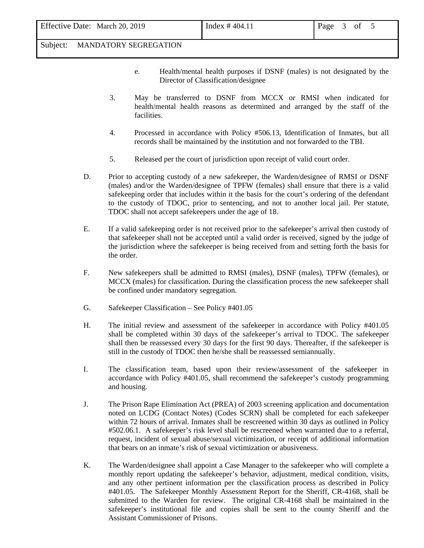#### Subject: MANDATORY SEGREGATION

- e. Health/mental health purposes if DSNF (males) is not designated by the Director of Classification/designee
- 3. May be transferred to DSNF from MCCX or RMSI when indicated for health/mental health reasons as determined and arranged by the staff of the facilities.
- 4. Processed in accordance with Policy #506.13, Identification of Inmates, but all records shall be maintained by the institution and not forwarded to the TBI.
- 5. Released per the court of jurisdiction upon receipt of valid court order.
- D. Prior to accepting custody of a new safekeeper, the Warden/designee of RMSI or DSNF (males) and/or the Warden/designee of TPFW (females) shall ensure that there is a valid safekeeping order that includes within it the basis for the court's ordering of the defendant to the custody of TDOC, prior to sentencing, and not to another local jail. Per statute, TDOC shall not accept safekeepers under the age of 18.
- E. If a valid safekeeping order is not received prior to the safekeeper's arrival then custody of that safekeeper shall not be accepted until a valid order is received, signed by the judge of the jurisdiction where the safekeeper is being received from and setting forth the basis for the order.
- F. New safekeepers shall be admitted to RMSI (males), DSNF (males), TPFW (females), or MCCX (males) for classification. During the classification process the new safekeeper shall be confined under mandatory segregation.
- G. Safekeeper Classification See Policy #401.05
- H. The initial review and assessment of the safekeeper in accordance with Policy #401.05 shall be completed within 30 days of the safekeeper's arrival to TDOC. The safekeeper shall then be reassessed every 30 days for the first 90 days. Thereafter, if the safekeeper is still in the custody of TDOC then he/she shall be reassessed semiannually.
- I. The classification team, based upon their review/assessment of the safekeeper in accordance with Policy #401.05, shall recommend the safekeeper's custody programming and housing.
- J. The Prison Rape Elimination Act (PREA) of 2003 screening application and documentation noted on LCDG (Contact Notes) (Codes SCRN) shall be completed for each safekeeper within 72 hours of arrival. Inmates shall be rescreened within 30 days as outlined in Policy #502.06.1. A safekeeper's risk level shall be rescreened when warranted due to a referral, request, incident of sexual abuse/sexual victimization, or receipt of additional information that bears on an inmate's risk of sexual victimization or abusiveness.
- K. The Warden/designee shall appoint a Case Manager to the safekeeper who will complete a monthly report updating the safekeeper's behavior, adjustment, medical condition, visits, and any other pertinent information per the classification process as described in Policy #401.05. The Safekeeper Monthly Assessment Report for the Sheriff, CR-4168, shall be submitted to the Warden for review. The original CR-4168 shall be maintained in the safekeeper's institutional file and copies shall be sent to the county Sheriff and the Assistant Commissioner of Prisons.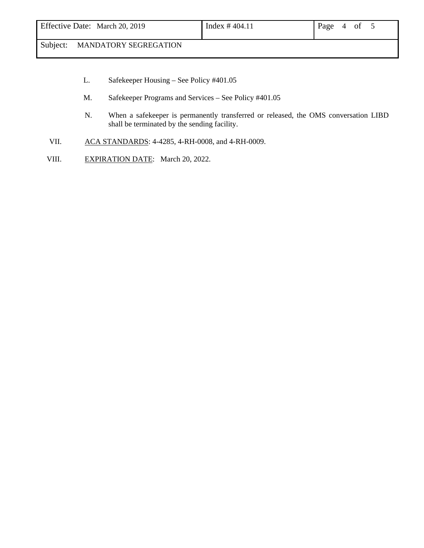# Subject: MANDATORY SEGREGATION

- L. Safekeeper Housing See Policy #401.05
- M. Safekeeper Programs and Services See Policy #401.05
- N. When a safekeeper is permanently transferred or released, the OMS conversation LIBD shall be terminated by the sending facility.
- VII. ACA STANDARDS: 4-4285, 4-RH-0008, and 4-RH-0009.
- VIII. EXPIRATION DATE: March 20, 2022.